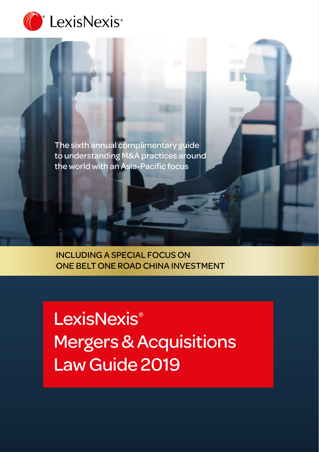

The sixth annual complimentary guide to understanding M&A practices around the world with an Asia-Pacific focus

INCLUDING A SPECIAL FOCUS ON ONE BELT ONE ROAD CHINA INVESTMENT

**LexisNexis<sup>®</sup>** Mergers & Acquisitions Law Guide 2019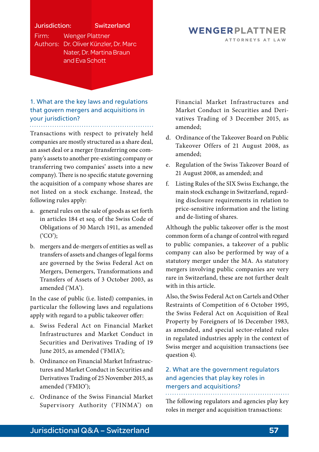## Jurisdiction: Switzerland Firm: Wenger Plattner

Authors: Dr. Oliver Künzler, Dr. Marc Nater, Dr. Martina Braun and Eva Schott

#### 1. What are the key laws and regulations that govern mergers and acquisitions in your jurisdiction? . . . . . . . . . . . . . . . . . .

Transactions with respect to privately held companies are mostly structured as a share deal, an asset deal or a merger (transferring one company's assets to another pre-existing company or transferring two companies' assets into a new company). There is no specific statute governing the acquisition of a company whose shares are not listed on a stock exchange. Instead, the following rules apply:

- a. general rules on the sale of goods as set forth in articles 184 et seq. of the Swiss Code of Obligations of 30 March 1911, as amended ('CO');
- b. mergers and de-mergers of entities as well as transfers of assets and changes of legal forms are governed by the Swiss Federal Act on Mergers, Demergers, Transformations and Transfers of Assets of 3 October 2003, as amended ('MA').

In the case of public (i.e. listed) companies, in particular the following laws and regulations apply with regard to a public takeover offer:

- a. Swiss Federal Act on Financial Market Infrastructures and Market Conduct in Securities and Derivatives Trading of 19 June 2015, as amended ('FMIA');
- b. Ordinance on Financial Market Infrastructures and Market Conduct in Securities and Derivatives Trading of 25 November 2015, as amended ('FMIO');
- c. Ordinance of the Swiss Financial Market Supervisory Authority ('FINMA') on

#### WENGERPLATTNER ATTORNEYS AT LAW

Financial Market Infrastructures and Market Conduct in Securities and Derivatives Trading of 3 December 2015, as amended;

- d. Ordinance of the Takeover Board on Public Takeover Offers of 21 August 2008, as amended;
- e. Regulation of the Swiss Takeover Board of 21 August 2008, as amended; and
- f. Listing Rules of the SIX Swiss Exchange, the main stock exchange in Switzerland, regarding disclosure requirements in relation to price-sensitive information and the listing and de-listing of shares.

Although the public takeover offer is the most common form of a change of control with regard to public companies, a takeover of a public company can also be performed by way of a statutory merger under the MA. As statutory mergers involving public companies are very rare in Switzerland, these are not further dealt with in this article.

Also, the Swiss Federal Act on Cartels and Other Restraints of Competition of 6 October 1995, the Swiss Federal Act on Acquisition of Real Property by Foreigners of 16 December 1983, as amended, and special sector-related rules in regulated industries apply in the context of Swiss merger and acquisition transactions (see question 4).

# 2. What are the government regulators and agencies that play key roles in mergers and acquisitions?

The following regulators and agencies play key roles in merger and acquisition transactions: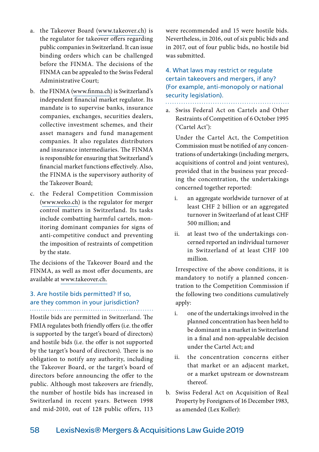- a. the Takeover Board [\(www.takeover.ch\)](http://www.takeover.ch) is the regulator for takeover offers regarding public companies in Switzerland. It can issue binding orders which can be challenged before the FINMA. The decisions of the FINMA can be appealed to the Swiss Federal Administrative Court;
- b. the FINMA [\(www.finma.ch](http://www.finma.ch)) is Switzerland's independent financial market regulator. Its mandate is to supervise banks, insurance companies, exchanges, securities dealers, collective investment schemes, and their asset managers and fund management companies. It also regulates distributors and insurance intermediaries. The FINMA is responsible for ensuring that Switzerland's financial market functions effectively. Also, the FINMA is the supervisory authority of the Takeover Board;
- c. the Federal Competition Commission [\(www.weko.ch\)](http://www.weko.ch) is the regulator for merger control matters in Switzerland. Its tasks include combatting harmful cartels, monitoring dominant companies for signs of anti-competitive conduct and preventing the imposition of restraints of competition by the state.

The decisions of the Takeover Board and the FINMA, as well as most offer documents, are available at [www.takeover.ch.](http://www.takeover.ch)

## 3. Are hostile bids permitted? If so, are they common in your jurisdiction?

Hostile bids are permitted in Switzerland. The FMIA regulates both friendly offers (i.e. the offer is supported by the target's board of directors) and hostile bids (i.e. the offer is not supported by the target's board of directors). There is no obligation to notify any authority, including the Takeover Board, or the target's board of directors before announcing the offer to the public. Although most takeovers are friendly, the number of hostile bids has increased in Switzerland in recent years. Between 1998 and mid-2010, out of 128 public offers, 113

were recommended and 15 were hostile bids. Nevertheless, in 2016, out of six public bids and in 2017, out of four public bids, no hostile bid was submitted.

## 4. What laws may restrict or regulate certain takeovers and mergers, if any? (For example, anti-monopoly or national security legislation).

a. Swiss Federal Act on Cartels and Other Restraints of Competition of 6 October 1995 ('Cartel Act'):

 Under the Cartel Act, the Competition Commission must be notified of any concentrations of undertakings (including mergers, acquisitions of control and joint ventures), provided that in the business year preceding the concentration, the undertakings concerned together reported:

- i. an aggregate worldwide turnover of at least CHF 2 billion or an aggregated turnover in Switzerland of at least CHF 500 million; and
- ii. at least two of the undertakings concerned reported an individual turnover in Switzerland of at least CHF 100 million.

 Irrespective of the above conditions, it is mandatory to notify a planned concentration to the Competition Commission if the following two conditions cumulatively apply:

- i. one of the undertakings involved in the planned concentration has been held to be dominant in a market in Switzerland in a final and non-appealable decision under the Cartel Act; and
- ii. the concentration concerns either that market or an adjacent market, or a market upstream or downstream thereof.
- b. Swiss Federal Act on Acquisition of Real Property by Foreigners of 16 December 1983, as amended (Lex Koller):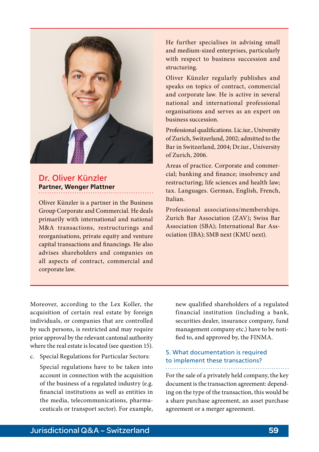

# Dr. Oliver Künzler **Partner, Wenger Plattner**

Oliver Künzler is a partner in the Business Group Corporate and Commercial. He deals primarily with international and national M&A transactions, restructurings and reorganisations, private equity and venture capital transactions and financings. He also advises shareholders and companies on all aspects of contract, commercial and corporate law.

He further specialises in advising small and medium-sized enterprises, particularly with respect to business succession and structuring.

Oliver Künzler regularly publishes and speaks on topics of contract, commercial and corporate law. He is active in several national and international professional organisations and serves as an expert on business succession.

Professional qualifications. Lic.iur., University of Zurich, Switzerland, 2002; admitted to the Bar in Switzerland, 2004; Dr.iur., University of Zurich, 2006.

Areas of practice. Corporate and commercial; banking and finance; insolvency and restructuring; life sciences and health law; tax. Languages. German, English, French, Italian.

Professional associations/memberships. Zurich Bar Association (ZAV); Swiss Bar Association (SBA); International Bar Association (IBA); SMB next (KMU next).

Moreover, according to the Lex Koller, the acquisition of certain real estate by foreign individuals, or companies that are controlled by such persons, is restricted and may require prior approval by the relevant cantonal authority where the real estate is located (see question 15).

c. Special Regulations for Particular Sectors:

 Special regulations have to be taken into account in connection with the acquisition of the business of a regulated industry (e.g. financial institutions as well as entities in the media, telecommunications, pharmaceuticals or transport sector). For example, new qualified shareholders of a regulated financial institution (including a bank, securities dealer, insurance company, fund management company etc.) have to be notified to, and approved by, the FINMA.

## 5. What documentation is required to implement these transactions?

For the sale of a privately held company, the key

document is the transaction agreement: depending on the type of the transaction, this would be a share purchase agreement, an asset purchase agreement or a merger agreement.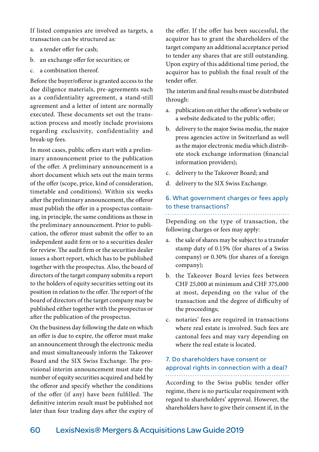If listed companies are involved as targets, a transaction can be structured as:

- a. a tender offer for cash;
- b. an exchange offer for securities; or
- c. a combination thereof.

Before the buyer/offeror is granted access to the due diligence materials, pre-agreements such as a confidentiality agreement, a stand-still agreement and a letter of intent are normally executed. These documents set out the transaction process and mostly include provisions regarding exclusivity, confidentiality and break-up fees.

In most cases, public offers start with a preliminary announcement prior to the publication of the offer. A preliminary announcement is a short document which sets out the main terms of the offer (scope, price, kind of consideration, timetable and conditions). Within six weeks after the preliminary announcement, the offeror must publish the offer in a prospectus containing, in principle, the same conditions as those in the preliminary announcement. Prior to publication, the offeror must submit the offer to an independent audit firm or to a securities dealer for review. The audit firm or the securities dealer issues a short report, which has to be published together with the prospectus. Also, the board of directors of the target company submits a report to the holders of equity securities setting out its position in relation to the offer. The report of the board of directors of the target company may be published either together with the prospectus or after the publication of the prospectus.

On the business day following the date on which an offer is due to expire, the offeror must make an announcement through the electronic media and must simultaneously inform the Takeover Board and the SIX Swiss Exchange. The provisional interim announcement must state the number of equity securities acquired and held by the offeror and specify whether the conditions of the offer (if any) have been fulfilled. The definitive interim result must be published not later than four trading days after the expiry of the offer. If the offer has been successful, the acquiror has to grant the shareholders of the target company an additional acceptance period to tender any shares that are still outstanding. Upon expiry of this additional time period, the acquiror has to publish the final result of the tender offer.

The interim and final results must be distributed through:

- a. publication on either the offeror's website or a website dedicated to the public offer;
- b. delivery to the major Swiss media, the major press agencies active in Switzerland as well as the major electronic media which distribute stock exchange information (financial information providers);
- c. delivery to the Takeover Board; and
- d. delivery to the SIX Swiss Exchange.

#### 6. What government charges or fees apply to these transactions?

Depending on the type of transaction, the following charges or fees may apply:

- a. the sale of shares may be subject to a transfer stamp duty of 0.15% (for shares of a Swiss company) or 0.30% (for shares of a foreign company);
- b. the Takeover Board levies fees between CHF 25,000 at minimum and CHF 375,000 at most, depending on the value of the transaction and the degree of difficulty of the proceedings;
- c. notaries' fees are required in transactions where real estate is involved. Such fees are cantonal fees and may vary depending on where the real estate is located.

## 7. Do shareholders have consent or approval rights in connection with a deal?

According to the Swiss public tender offer regime, there is no particular requirement with regard to shareholders' approval. However, the shareholders have to give their consent if, in the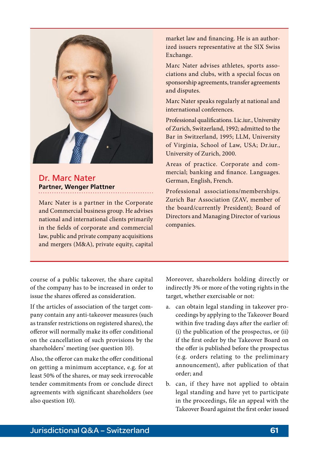

# Dr. Marc Nater **Partner, Wenger Plattner**

Marc Nater is a partner in the Corporate and Commercial business group. He advises national and international clients primarily in the fields of corporate and commercial law, public and private company acquisitions and mergers (M&A), private equity, capital

market law and financing. He is an authorized issuers representative at the SIX Swiss Exchange.

Marc Nater advises athletes, sports associations and clubs, with a special focus on sponsorship agreements, transfer agreements and disputes.

Marc Nater speaks regularly at national and international conferences.

Professional qualifications. Lic.iur., University of Zurich, Switzerland, 1992; admitted to the Bar in Switzerland, 1995; LLM, University of Virginia, School of Law, USA; Dr.iur., University of Zurich, 2000.

Areas of practice. Corporate and commercial; banking and finance. Languages. German, English, French.

Professional associations/memberships. Zurich Bar Association (ZAV, member of the board/currently President); Board of Directors and Managing Director of various companies.

course of a public takeover, the share capital of the company has to be increased in order to issue the shares offered as consideration.

If the articles of association of the target company contain any anti-takeover measures (such as transfer restrictions on registered shares), the offeror will normally make its offer conditional on the cancellation of such provisions by the shareholders' meeting (see question 10).

Also, the offeror can make the offer conditional on getting a minimum acceptance, e.g. for at least 50% of the shares, or may seek irrevocable tender commitments from or conclude direct agreements with significant shareholders (see also question 10).

Moreover, shareholders holding directly or indirectly 3% or more of the voting rights in the target, whether exercisable or not:

- a. can obtain legal standing in takeover proceedings by applying to the Takeover Board within five trading days after the earlier of: (i) the publication of the prospectus, or (ii) if the first order by the Takeover Board on the offer is published before the prospectus (e.g. orders relating to the preliminary announcement), after publication of that order; and
- b. can, if they have not applied to obtain legal standing and have yet to participate in the proceedings, file an appeal with the Takeover Board against the first order issued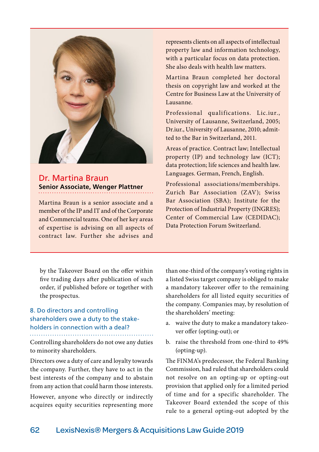

Dr. Martina Braun **Senior Associate, Wenger Plattner**

Martina Braun is a senior associate and a member of the IP and IT and of the Corporate and Commercial teams. One of her key areas of expertise is advising on all aspects of contract law. Further she advises and

represents clients on all aspects of intellectual property law and information technology, with a particular focus on data protection. She also deals with health law matters.

Martina Braun completed her doctoral thesis on copyright law and worked at the Centre for Business Law at the University of Lausanne.

Professional qualifications. Lic.iur., University of Lausanne, Switzerland, 2005; Dr.iur., University of Lausanne, 2010; admitted to the Bar in Switzerland, 2011.

Areas of practice. Contract law; Intellectual property (IP) and technology law (ICT); data protection; life sciences and health law. Languages. German, French, English.

Professional associations/memberships. Zurich Bar Association (ZAV); Swiss Bar Association (SBA); Institute for the Protection of Industrial Property (INGRES); Center of Commercial Law (CEDIDAC); Data Protection Forum Switzerland.

by the Takeover Board on the offer within five trading days after publication of such order, if published before or together with the prospectus.

# 8. Do directors and controlling shareholders owe a duty to the stakeholders in connection with a deal?

Controlling shareholders do not owe any duties to minority shareholders.

Directors owe a duty of care and loyalty towards the company. Further, they have to act in the best interests of the company and to abstain from any action that could harm those interests. However, anyone who directly or indirectly acquires equity securities representing more than one-third of the company's voting rights in a listed Swiss target company is obliged to make a mandatory takeover offer to the remaining shareholders for all listed equity securities of the company. Companies may, by resolution of the shareholders' meeting:

- a. waive the duty to make a mandatory takeover offer (opting-out); or
- b. raise the threshold from one-third to 49% (opting-up).

The FINMA's predecessor, the Federal Banking Commission, had ruled that shareholders could not resolve on an opting-up or opting-out provision that applied only for a limited period of time and for a specific shareholder. The Takeover Board extended the scope of this rule to a general opting-out adopted by the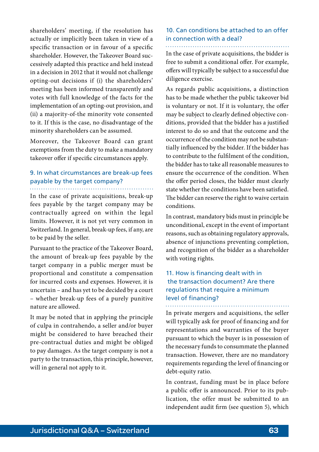shareholders' meeting, if the resolution has actually or implicitly been taken in view of a specific transaction or in favour of a specific shareholder. However, the Takeover Board successively adapted this practice and held instead in a decision in 2012 that it would not challenge opting-out decisions if (i) the shareholders' meeting has been informed transparently and votes with full knowledge of the facts for the implementation of an opting-out provision, and (ii) a majority-of-the minority vote consented to it. If this is the case, no disadvantage of the minority shareholders can be assumed.

Moreover, the Takeover Board can grant exemptions from the duty to make a mandatory takeover offer if specific circumstances apply.

## 9. In what circumstances are break-up fees payable by the target company?

In the case of private acquisitions, break-up fees payable by the target company may be contractually agreed on within the legal limits. However, it is not yet very common in Switzerland. In general, break-up fees, if any, are to be paid by the seller.

Pursuant to the practice of the Takeover Board, the amount of break-up fees payable by the target company in a public merger must be proportional and constitute a compensation for incurred costs and expenses. However, it is uncertain – and has yet to be decided by a court – whether break-up fees of a purely punitive nature are allowed.

It may be noted that in applying the principle of culpa in contrahendo, a seller and/or buyer might be considered to have breached their pre-contractual duties and might be obliged to pay damages. As the target company is not a party to the transaction, this principle, however, will in general not apply to it.

#### 10. Can conditions be attached to an offer in connection with a deal?

In the case of private acquisitions, the bidder is free to submit a conditional offer. For example, offers will typically be subject to a successful due diligence exercise.

As regards public acquisitions, a distinction has to be made whether the public takeover bid is voluntary or not. If it is voluntary, the offer may be subject to clearly defined objective conditions, provided that the bidder has a justified interest to do so and that the outcome and the occurrence of the condition may not be substantially influenced by the bidder. If the bidder has to contribute to the fulfilment of the condition, the bidder has to take all reasonable measures to ensure the occurrence of the condition. When the offer period closes, the bidder must clearly state whether the conditions have been satisfied. The bidder can reserve the right to waive certain conditions.

In contrast, mandatory bids must in principle be unconditional, except in the event of important reasons, such as obtaining regulatory approvals, absence of injunctions preventing completion, and recognition of the bidder as a shareholder with voting rights.

#### 11. How is financing dealt with in the transaction document? Are there regulations that require a minimum level of financing?

In private mergers and acquisitions, the seller will typically ask for proof of financing and for representations and warranties of the buyer pursuant to which the buyer is in possession of the necessary funds to consummate the planned transaction. However, there are no mandatory requirements regarding the level of financing or debt-equity ratio.

In contrast, funding must be in place before a public offer is announced. Prior to its publication, the offer must be submitted to an independent audit firm (see question 5), which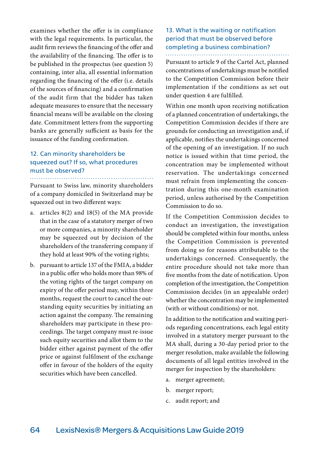examines whether the offer is in compliance with the legal requirements. In particular, the audit firm reviews the financing of the offer and the availability of the financing. The offer is to be published in the prospectus (see question 5) containing, inter alia, all essential information regarding the financing of the offer (i.e. details of the sources of financing) and a confirmation of the audit firm that the bidder has taken adequate measures to ensure that the necessary financial means will be available on the closing date. Commitment letters from the supporting banks are generally sufficient as basis for the issuance of the funding confirmation.

### 12. Can minority shareholders be squeezed out? If so, what procedures must be observed?

Pursuant to Swiss law, minority shareholders of a company domiciled in Switzerland may be squeezed out in two different ways:

- a. articles 8(2) and 18(5) of the MA provide that in the case of a statutory merger of two or more companies, a minority shareholder may be squeezed out by decision of the shareholders of the transferring company if they hold at least 90% of the voting rights;
- b. pursuant to article 137 of the FMIA, a bidder in a public offer who holds more than 98% of the voting rights of the target company on expiry of the offer period may, within three months, request the court to cancel the outstanding equity securities by initiating an action against the company. The remaining shareholders may participate in these proceedings. The target company must re-issue such equity securities and allot them to the bidder either against payment of the offer price or against fulfilment of the exchange offer in favour of the holders of the equity securities which have been cancelled.

#### 13. What is the waiting or notification period that must be observed before completing a business combination?

Pursuant to article 9 of the Cartel Act, planned concentrations of undertakings must be notified to the Competition Commission before their implementation if the conditions as set out under question 4 are fulfilled.

Within one month upon receiving notification of a planned concentration of undertakings, the Competition Commission decides if there are grounds for conducting an investigation and, if applicable, notifies the undertakings concerned of the opening of an investigation. If no such notice is issued within that time period, the concentration may be implemented without reservation. The undertakings concerned must refrain from implementing the concentration during this one-month examination period, unless authorised by the Competition Commission to do so.

If the Competition Commission decides to conduct an investigation, the investigation should be completed within four months, unless the Competition Commission is prevented from doing so for reasons attributable to the undertakings concerned. Consequently, the entire procedure should not take more than five months from the date of notification. Upon completion of the investigation, the Competition Commission decides (in an appealable order) whether the concentration may be implemented (with or without conditions) or not.

In addition to the notification and waiting periods regarding concentrations, each legal entity involved in a statutory merger pursuant to the MA shall, during a 30-day period prior to the merger resolution, make available the following documents of all legal entities involved in the merger for inspection by the shareholders:

- a. merger agreement;
- b. merger report;
- c. audit report; and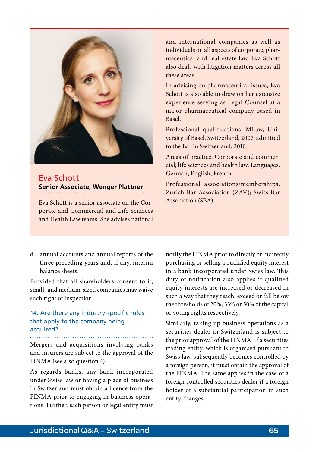

Eva Schott **Senior Associate, Wenger Plattner**

Association (SBA). Eva Schott is a senior associate on the Corporate and Commercial and Life Sciences and Health Law teams. She advises national

and international companies as well as individuals on all aspects of corporate, pharmaceutical and real estate law. Eva Schott also deals with litigation matters across all these areas.

In advising on pharmaceutical issues, Eva Schott is also able to draw on her extensive experience serving as Legal Counsel at a major pharmaceutical company based in Basel.

Professional qualifications. MLaw, University of Basel, Switzerland, 2007; admitted to the Bar in Switzerland, 2010.

Areas of practice. Corporate and commercial; life sciences and health law. Languages. German, English, French.

Professional associations/memberships. Zurich Bar Association (ZAV); Swiss Bar

d. annual accounts and annual reports of the three preceding years and, if any, interim balance sheets.

Provided that all shareholders consent to it, small- and medium-sized companies may waive such right of inspection.

## 14. Are there any industry-specific rules that apply to the company being acquired?

Mergers and acquisitions involving banks and insurers are subject to the approval of the FINMA (see also question 4).

As regards banks, any bank incorporated under Swiss law or having a place of business in Switzerland must obtain a licence from the FINMA prior to engaging in business operations. Further, each person or legal entity must notify the FINMA prior to directly or indirectly purchasing or selling a qualified equity interest in a bank incorporated under Swiss law. This duty of notification also applies if qualified equity interests are increased or decreased in such a way that they reach, exceed or fall below the thresholds of 20%, 33% or 50% of the capital or voting rights respectively.

Similarly, taking up business operations as a securities dealer in Switzerland is subject to the prior approval of the FINMA. If a securities trading entity, which is organised pursuant to Swiss law, subsequently becomes controlled by a foreign person, it must obtain the approval of the FINMA. The same applies in the case of a foreign controlled securities dealer if a foreign holder of a substantial participation in such entity changes.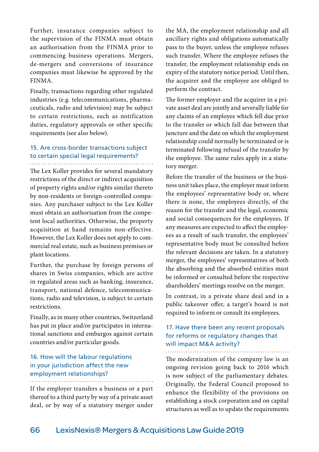Further, insurance companies subject to the supervision of the FINMA must obtain an authorisation from the FINMA prior to commencing business operations. Mergers, de-mergers and conversions of insurance companies must likewise be approved by the FINMA.

Finally, transactions regarding other regulated industries (e.g. telecommunications, pharmaceuticals, radio and television) may be subject to certain restrictions, such as notification duties, regulatory approvals or other specific requirements (see also below).

# 15. Are cross-border transactions subject to certain special legal requirements?

The Lex Koller provides for several mandatory restrictions of the direct or indirect acquisition of property rights and/or rights similar thereto by non-residents or foreign-controlled companies. Any purchaser subject to the Lex Koller must obtain an authorisation from the competent local authorities. Otherwise, the property acquisition at hand remains non-effective. However, the Lex Koller does not apply to commercial real estate, such as business premises or plant locations.

Further, the purchase by foreign persons of shares in Swiss companies, which are active in regulated areas such as banking, insurance, transport, national defence, telecommunications, radio and television, is subject to certain restrictions.

Finally, as in many other countries, Switzerland has put in place and/or participates in international sanctions and embargos against certain countries and/or particular goods.

### 16. How will the labour regulations in your jurisdiction affect the new employment relationships?

If the employer transfers a business or a part thereof to a third party by way of a private asset deal, or by way of a statutory merger under the MA, the employment relationship and all ancillary rights and obligations automatically pass to the buyer, unless the employee refuses such transfer. Where the employee refuses the transfer, the employment relationship ends on expiry of the statutory notice period. Until then, the acquirer and the employee are obliged to perform the contract.

The former employer and the acquirer in a private asset deal are jointly and severally liable for any claims of an employee which fell due prior to the transfer or which fall due between that juncture and the date on which the employment relationship could normally be terminated or is terminated following refusal of the transfer by the employee. The same rules apply in a statutory merger.

Before the transfer of the business or the business unit takes place, the employer must inform the employees' representative body or, where there is none, the employees directly, of the reason for the transfer and the legal, economic and social consequences for the employees. If any measures are expected to affect the employees as a result of such transfer, the employees' representative body must be consulted before the relevant decisions are taken. In a statutory merger, the employees' representatives of both the absorbing and the absorbed entities must be informed or consulted before the respective shareholders' meetings resolve on the merger.

In contrast, in a private share deal and in a public takeover offer, a target's board is not required to inform or consult its employees.

## 17. Have there been any recent proposals for reforms or regulatory changes that will impact M&A activity?

The modernization of the company law is an ongoing revision going back to 2016 which is now subject of the parliamentary debates. Originally, the Federal Council proposed to enhance the flexibility of the provisions on establishing a stock corporation and on capital structures as well as to update the requirements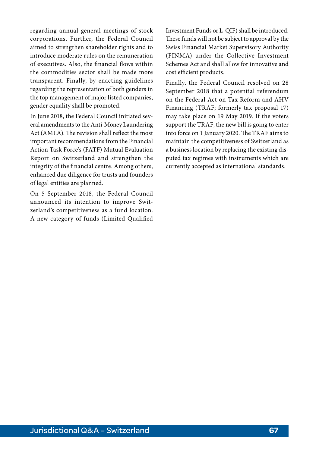regarding annual general meetings of stock corporations. Further, the Federal Council aimed to strengthen shareholder rights and to introduce moderate rules on the remuneration of executives. Also, the financial flows within the commodities sector shall be made more transparent. Finally, by enacting guidelines regarding the representation of both genders in the top management of major listed companies, gender equality shall be promoted.

In June 2018, the Federal Council initiated several amendments to the Anti-Money Laundering Act (AMLA). The revision shall reflect the most important recommendations from the Financial Action Task Force's (FATF) Mutual Evaluation Report on Switzerland and strengthen the integrity of the financial centre. Among others, enhanced due diligence for trusts and founders of legal entities are planned.

On 5 September 2018, the Federal Council announced its intention to improve Switzerland's competitiveness as a fund location. A new category of funds (Limited Qualified

Investment Funds or L-QIF) shall be introduced. These funds will not be subject to approval by the Swiss Financial Market Supervisory Authority (FINMA) under the Collective Investment Schemes Act and shall allow for innovative and cost efficient products.

Finally, the Federal Council resolved on 28 September 2018 that a potential referendum on the Federal Act on Tax Reform and AHV Financing (TRAF; formerly tax proposal 17) may take place on 19 May 2019. If the voters support the TRAF, the new bill is going to enter into force on 1 January 2020. The TRAF aims to maintain the competitiveness of Switzerland as a business location by replacing the existing disputed tax regimes with instruments which are currently accepted as international standards.